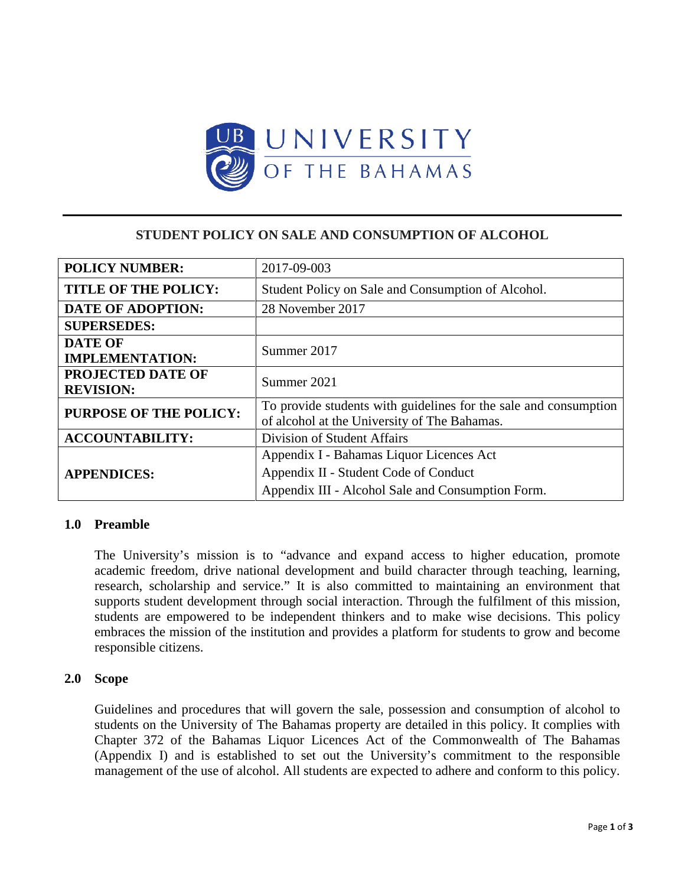

# **STUDENT POLICY ON SALE AND CONSUMPTION OF ALCOHOL**

| <b>POLICY NUMBER:</b>         | 2017-09-003                                                      |
|-------------------------------|------------------------------------------------------------------|
| <b>TITLE OF THE POLICY:</b>   | Student Policy on Sale and Consumption of Alcohol.               |
| <b>DATE OF ADOPTION:</b>      | 28 November 2017                                                 |
| <b>SUPERSEDES:</b>            |                                                                  |
| <b>DATE OF</b>                | Summer 2017                                                      |
| <b>IMPLEMENTATION:</b>        |                                                                  |
| <b>PROJECTED DATE OF</b>      | Summer 2021                                                      |
| <b>REVISION:</b>              |                                                                  |
| <b>PURPOSE OF THE POLICY:</b> | To provide students with guidelines for the sale and consumption |
|                               | of alcohol at the University of The Bahamas.                     |
| <b>ACCOUNTABILITY:</b>        | <b>Division of Student Affairs</b>                               |
| <b>APPENDICES:</b>            | Appendix I - Bahamas Liquor Licences Act                         |
|                               | Appendix II - Student Code of Conduct                            |
|                               | Appendix III - Alcohol Sale and Consumption Form.                |

# **1.0 Preamble**

The University's mission is to "advance and expand access to higher education, promote academic freedom, drive national development and build character through teaching, learning, research, scholarship and service." It is also committed to maintaining an environment that supports student development through social interaction. Through the fulfilment of this mission, students are empowered to be independent thinkers and to make wise decisions. This policy embraces the mission of the institution and provides a platform for students to grow and become responsible citizens.

#### **2.0 Scope**

Guidelines and procedures that will govern the sale, possession and consumption of alcohol to students on the University of The Bahamas property are detailed in this policy. It complies with Chapter 372 of the Bahamas Liquor Licences Act of the Commonwealth of The Bahamas (Appendix I) and is established to set out the University's commitment to the responsible management of the use of alcohol. All students are expected to adhere and conform to this policy.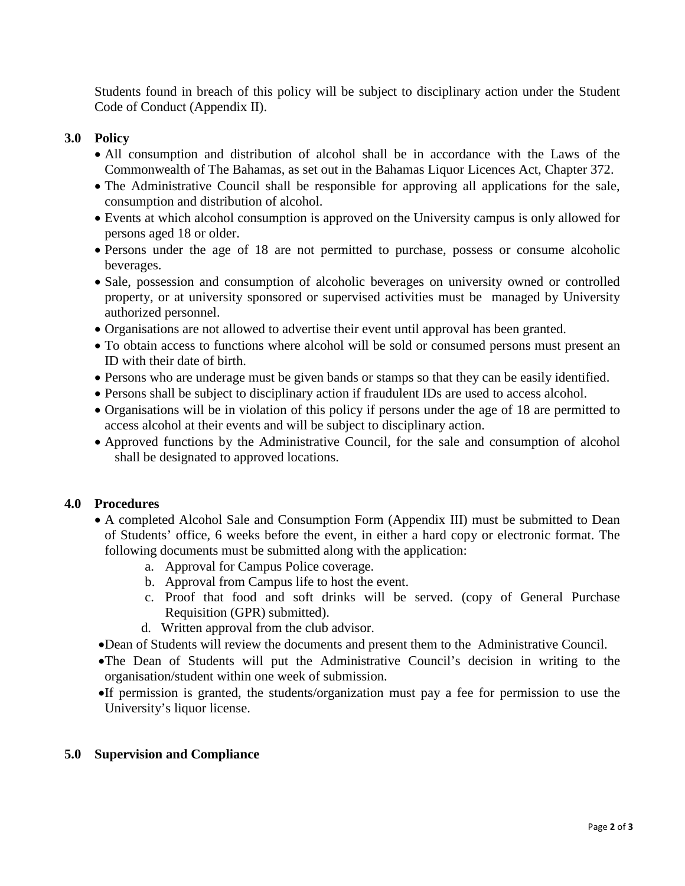Students found in breach of this policy will be subject to disciplinary action under the Student Code of Conduct (Appendix II).

### **3.0 Policy**

- All consumption and distribution of alcohol shall be in accordance with the Laws of the Commonwealth of The Bahamas, as set out in the Bahamas Liquor Licences Act, Chapter 372.
- The Administrative Council shall be responsible for approving all applications for the sale, consumption and distribution of alcohol.
- Events at which alcohol consumption is approved on the University campus is only allowed for persons aged 18 or older.
- Persons under the age of 18 are not permitted to purchase, possess or consume alcoholic beverages.
- Sale, possession and consumption of alcoholic beverages on university owned or controlled property, or at university sponsored or supervised activities must be managed by University authorized personnel.
- Organisations are not allowed to advertise their event until approval has been granted.
- To obtain access to functions where alcohol will be sold or consumed persons must present an ID with their date of birth.
- Persons who are underage must be given bands or stamps so that they can be easily identified.
- Persons shall be subject to disciplinary action if fraudulent IDs are used to access alcohol.
- Organisations will be in violation of this policy if persons under the age of 18 are permitted to access alcohol at their events and will be subject to disciplinary action.
- Approved functions by the Administrative Council, for the sale and consumption of alcohol shall be designated to approved locations.

#### **4.0 Procedures**

- A completed Alcohol Sale and Consumption Form (Appendix III) must be submitted to Dean of Students' office, 6 weeks before the event, in either a hard copy or electronic format. The following documents must be submitted along with the application:
	- a. Approval for Campus Police coverage.
	- b. Approval from Campus life to host the event.
	- c. Proof that food and soft drinks will be served. (copy of General Purchase Requisition (GPR) submitted).
	- d. Written approval from the club advisor.
- •Dean of Students will review the documents and present them to the Administrative Council.
- •The Dean of Students will put the Administrative Council's decision in writing to the organisation/student within one week of submission.
- •If permission is granted, the students/organization must pay a fee for permission to use the University's liquor license.

### **5.0 Supervision and Compliance**